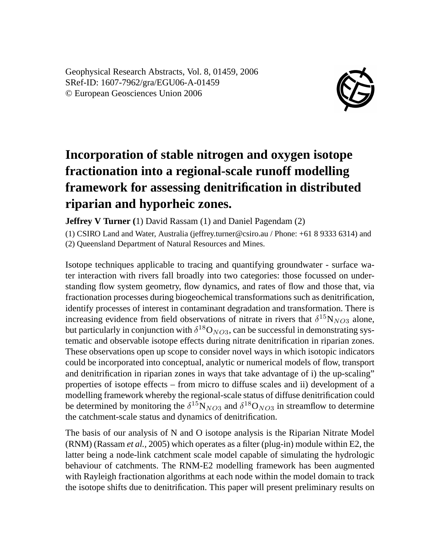Geophysical Research Abstracts, Vol. 8, 01459, 2006 SRef-ID: 1607-7962/gra/EGU06-A-01459 © European Geosciences Union 2006



## **Incorporation of stable nitrogen and oxygen isotope fractionation into a regional-scale runoff modelling framework for assessing denitrification in distributed riparian and hyporheic zones.**

**Jeffrey V Turner (**1) David Rassam (1) and Daniel Pagendam (2)

(1) CSIRO Land and Water, Australia (jeffrey.turner@csiro.au / Phone: +61 8 9333 6314) and (2) Queensland Department of Natural Resources and Mines.

Isotope techniques applicable to tracing and quantifying groundwater - surface water interaction with rivers fall broadly into two categories: those focussed on understanding flow system geometry, flow dynamics, and rates of flow and those that, via fractionation processes during biogeochemical transformations such as denitrification, identify processes of interest in contaminant degradation and transformation. There is increasing evidence from field observations of nitrate in rivers that  $\delta^{15}N_{NO3}$  alone, but particularly in conjunction with  $\delta^{18}O_{NO3}$ , can be successful in demonstrating systematic and observable isotope effects during nitrate denitrification in riparian zones. These observations open up scope to consider novel ways in which isotopic indicators could be incorporated into conceptual, analytic or numerical models of flow, transport and denitrification in riparian zones in ways that take advantage of i) the up-scaling" properties of isotope effects – from micro to diffuse scales and ii) development of a modelling framework whereby the regional-scale status of diffuse denitrification could be determined by monitoring the  $\delta^{15}N_{NO3}$  and  $\delta^{18}O_{NO3}$  in streamflow to determine the catchment-scale status and dynamics of denitrification.

The basis of our analysis of N and O isotope analysis is the Riparian Nitrate Model (RNM) (Rassam *et al.,* 2005) which operates as a filter (plug-in) module within E2, the latter being a node-link catchment scale model capable of simulating the hydrologic behaviour of catchments. The RNM-E2 modelling framework has been augmented with Rayleigh fractionation algorithms at each node within the model domain to track the isotope shifts due to denitrification. This paper will present preliminary results on